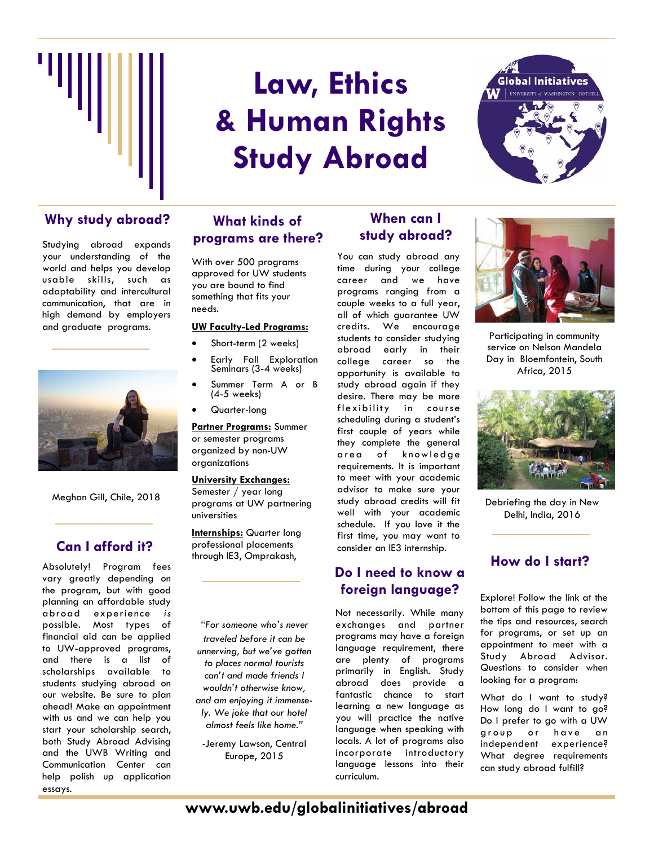

# **Law, Ethics & Human Rights Study Abroad**



## Why study abroad? What kinds of **When can I**

Studying abroad expands your understanding of the world and helps you develop usable skills, such as adaptability and intercultural communication, that are in high demand by employers and graduate programs.



Meghan Gill, Chile, 2018

## **Can I afford it?**

Absolutely! Program fees vary greatly depending on the program, but with good planning an affordable study abroad experience *is* possible. Most types of financial aid can be applied to UW-approved programs, and there is a list of scholarships available to students studying abroad on our website. Be sure to plan ahead! Make an appointment with us and we can help you start your scholarship search, both Study Abroad Advising and the UWB Writing and Communication Center can help polish up application essays.

### **What kinds of programs are there?**

With over 500 programs approved for UW students you are bound to find something that fits your needs.

#### **UW Faculty-Led Programs:**

- Short-term (2 weeks)
- Early Fall Exploration Seminars (3-4 weeks)
- Summer Term A or B (4-5 weeks)
- Quarter-long

**Partner Programs:** Summer or semester programs organized by non-UW organizations

#### **University Exchanges:**

Semester / year long programs at UW partnering universities

**Internships:** Quarter long professional placements through IE3, Omprakash,

*"For someone who's never traveled before it can be unnerving, but we've gotten to places normal tourists can't and made friends I wouldn't otherwise know, and am enjoying it immensely. We joke that our hotel almost feels like home."* 

*-*Jeremy Lawson, Central Europe, 2015

## **study abroad?**

You can study abroad any time during your college career and we have programs ranging from a couple weeks to a full year, all of which guarantee UW credits. We encourage students to consider studying abroad early in their college career so the opportunity is available to study abroad again if they desire. There may be more flexibility in course scheduling during a student's first couple of years while they complete the general area of knowledge requirements. It is important to meet with your academic advisor to make sure your study abroad credits will fit well with your academic schedule. If you love it the first time, you may want to consider an IE3 internship.

## **Do I need to know a foreign language?**

Not necessarily. While many exchanges and partner programs may have a foreign language requirement, there are plenty of programs primarily in English. Study abroad does provide a fantastic chance to start learning a new language as you will practice the native language when speaking with locals. A lot of programs also incorporate introductory language lessons into their curriculum.



Participating in community service on Nelson Mandela Day in Bloemfontein, South Africa, 2015



Debriefing the day in New Delhi, India, 2016

### **How do I start?**

Explore! Follow the link at the bottom of this page to review the tips and resources, search for programs, or set up an appointment to meet with a Study Abroad Advisor. Questions to consider when looking for a program:

What do I want to study? How long do I want to go? Do I prefer to go with a UW group or have an independent experience? What degree requirements can study abroad fulfill?